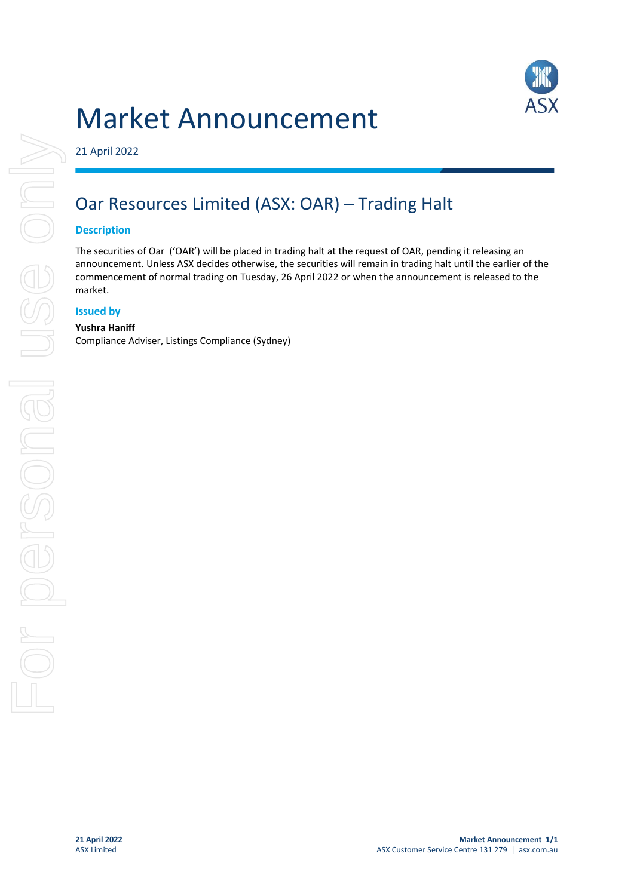# Market Announcement



21 April 2022

## Oar Resources Limited (ASX: OAR) – Trading Halt

### **Description**

The securities of Oar ('OAR') will be placed in trading halt at the request of OAR, pending it releasing an announcement. Unless ASX decides otherwise, the securities will remain in trading halt until the earlier of the commencement of normal trading on Tuesday, 26 April 2022 or when the announcement is released to the market.

### **Issued by**

#### **Yushra Haniff**

Compliance Adviser, Listings Compliance (Sydney)